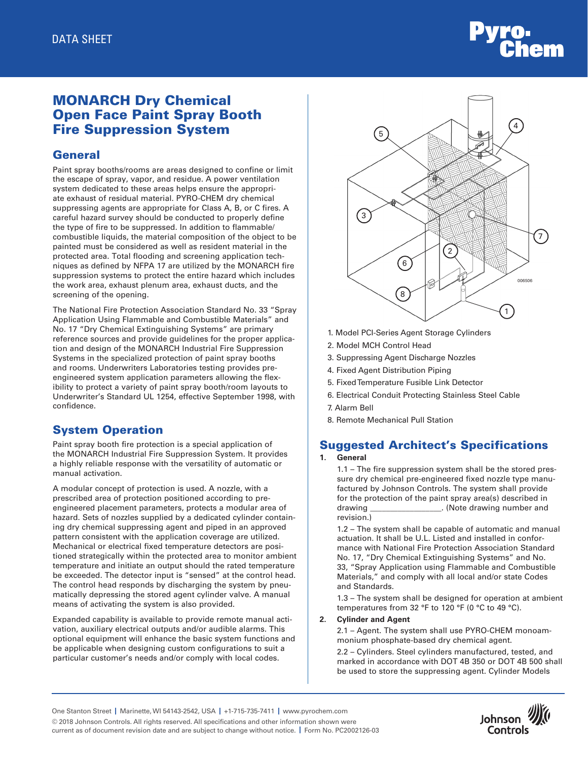# MONARCH Dry Chemical Open Face Paint Spray Booth Fire Suppression System

## **General**

Paint spray booths/rooms are areas designed to confine or limit the escape of spray, vapor, and residue. A power ventilation system dedicated to these areas helps ensure the appropriate exhaust of residual material. PYRO-CHEM dry chemical suppressing agents are appropriate for Class A, B, or C fires. A careful hazard survey should be conducted to properly define the type of fire to be suppressed. In addition to flammable/ combustible liquids, the material composition of the object to be painted must be considered as well as resident material in the protected area. Total flooding and screening application techniques as defined by NFPA 17 are utilized by the MONARCH fire suppression systems to protect the entire hazard which includes the work area, exhaust plenum area, exhaust ducts, and the screening of the opening.

The National Fire Protection Association Standard No. 33 "Spray Application Using Flammable and Combustible Materials" and No. 17 "Dry Chemical Extinguishing Systems" are primary reference sources and provide guidelines for the proper application and design of the MONARCH Industrial Fire Suppression Systems in the specialized protection of paint spray booths and rooms. Underwriters Laboratories testing provides preengineered system application parameters allowing the flexibility to protect a variety of paint spray booth/room layouts to Underwriter's Standard UL 1254, effective September 1998, with confidence.

# System Operation

Paint spray booth fire protection is a special application of the MONARCH Industrial Fire Suppression System. It provides a highly reliable response with the versatility of automatic or manual activation.

A modular concept of protection is used. A nozzle, with a prescribed area of protection positioned according to preengineered placement parameters, protects a modular area of hazard. Sets of nozzles supplied by a dedicated cylinder containing dry chemical suppressing agent and piped in an approved pattern consistent with the application coverage are utilized. Mechanical or electrical fixed temperature detectors are positioned strategically within the protected area to monitor ambient temperature and initiate an output should the rated temperature be exceeded. The detector input is "sensed" at the control head. The control head responds by discharging the system by pneumatically depressing the stored agent cylinder valve. A manual means of activating the system is also provided.

Expanded capability is available to provide remote manual activation, auxiliary electrical outputs and/or audible alarms. This optional equipment will enhance the basic system functions and be applicable when designing custom configurations to suit a particular customer's needs and/or comply with local codes.



- 1. Model PCI-Series Agent Storage Cylinders
- 2. Model MCH Control Head
- 3. Suppressing Agent Discharge Nozzles
- 4. Fixed Agent Distribution Piping
- 5. Fixed Temperature Fusible Link Detector
- 6. Electrical Conduit Protecting Stainless Steel Cable
- 7. Alarm Bell
- 8. Remote Mechanical Pull Station

# Suggested Architect's Specifications

### **1. General**

 1.1 – The fire suppression system shall be the stored pressure dry chemical pre-engineered fixed nozzle type manufactured by Johnson Controls. The system shall provide for the protection of the paint spray area(s) described in drawing \_\_\_\_\_\_\_\_\_\_\_\_\_\_\_\_\_\_. (Note drawing number and revision.)

 1.2 – The system shall be capable of automatic and manual actuation. It shall be U.L. Listed and installed in conformance with National Fire Protection Association Standard No. 17, "Dry Chemical Extinguishing Systems" and No. 33, "Spray Application using Flammable and Combustible Materials," and comply with all local and/or state Codes and Standards.

 1.3 – The system shall be designed for operation at ambient temperatures from 32 °F to 120 °F (0 °C to 49 °C).

#### **2. Cylinder and Agent**

 2.1 – Agent. The system shall use PYRO-CHEM monoammonium phosphate-based dry chemical agent.

 2.2 – Cylinders. Steel cylinders manufactured, tested, and marked in accordance with DOT 4B 350 or DOT 4B 500 shall be used to store the suppressing agent. Cylinder Models